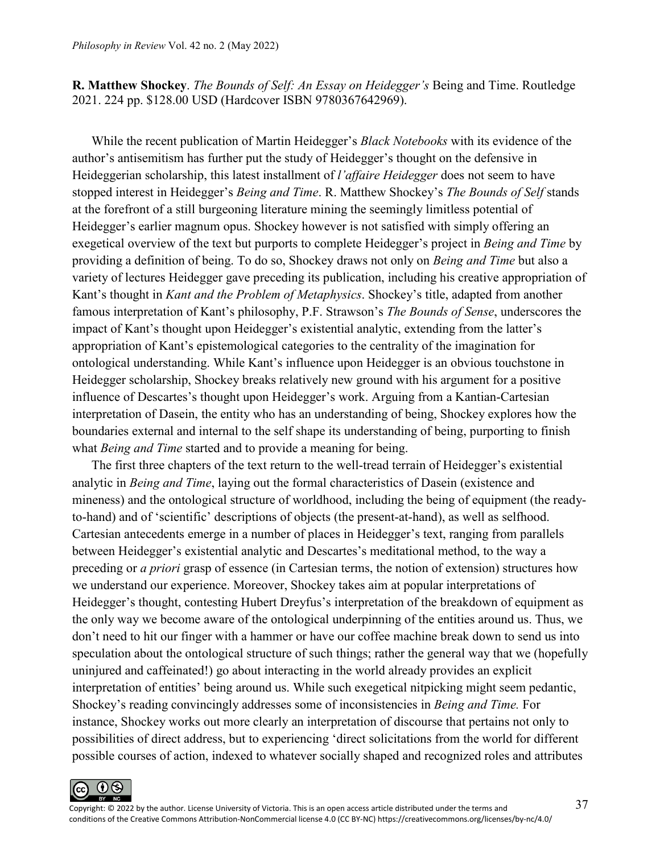**R. Matthew Shockey**. *The Bounds of Self: An Essay on Heidegger's* Being and Time. Routledge 2021. 224 pp. \$128.00 USD (Hardcover ISBN 9780367642969).

While the recent publication of Martin Heidegger's *Black Notebooks* with its evidence of the author's antisemitism has further put the study of Heidegger's thought on the defensive in Heideggerian scholarship, this latest installment of *l'affaire Heidegger* does not seem to have stopped interest in Heidegger's *Being and Time*. R. Matthew Shockey's *The Bounds of Self* stands at the forefront of a still burgeoning literature mining the seemingly limitless potential of Heidegger's earlier magnum opus. Shockey however is not satisfied with simply offering an exegetical overview of the text but purports to complete Heidegger's project in *Being and Time* by providing a definition of being. To do so, Shockey draws not only on *Being and Time* but also a variety of lectures Heidegger gave preceding its publication, including his creative appropriation of Kant's thought in *Kant and the Problem of Metaphysics*. Shockey's title, adapted from another famous interpretation of Kant's philosophy, P.F. Strawson's *The Bounds of Sense*, underscores the impact of Kant's thought upon Heidegger's existential analytic, extending from the latter's appropriation of Kant's epistemological categories to the centrality of the imagination for ontological understanding. While Kant's influence upon Heidegger is an obvious touchstone in Heidegger scholarship, Shockey breaks relatively new ground with his argument for a positive influence of Descartes's thought upon Heidegger's work. Arguing from a Kantian-Cartesian interpretation of Dasein, the entity who has an understanding of being, Shockey explores how the boundaries external and internal to the self shape its understanding of being, purporting to finish what *Being and Time* started and to provide a meaning for being.

The first three chapters of the text return to the well-tread terrain of Heidegger's existential analytic in *Being and Time*, laying out the formal characteristics of Dasein (existence and mineness) and the ontological structure of worldhood, including the being of equipment (the readyto-hand) and of 'scientific' descriptions of objects (the present-at-hand), as well as selfhood. Cartesian antecedents emerge in a number of places in Heidegger's text, ranging from parallels between Heidegger's existential analytic and Descartes's meditational method, to the way a preceding or *a priori* grasp of essence (in Cartesian terms, the notion of extension) structures how we understand our experience. Moreover, Shockey takes aim at popular interpretations of Heidegger's thought, contesting Hubert Dreyfus's interpretation of the breakdown of equipment as the only way we become aware of the ontological underpinning of the entities around us. Thus, we don't need to hit our finger with a hammer or have our coffee machine break down to send us into speculation about the ontological structure of such things; rather the general way that we (hopefully uninjured and caffeinated!) go about interacting in the world already provides an explicit interpretation of entities' being around us. While such exegetical nitpicking might seem pedantic, Shockey's reading convincingly addresses some of inconsistencies in *Being and Time.* For instance, Shockey works out more clearly an interpretation of discourse that pertains not only to possibilities of direct address, but to experiencing 'direct solicitations from the world for different possible courses of action, indexed to whatever socially shaped and recognized roles and attributes

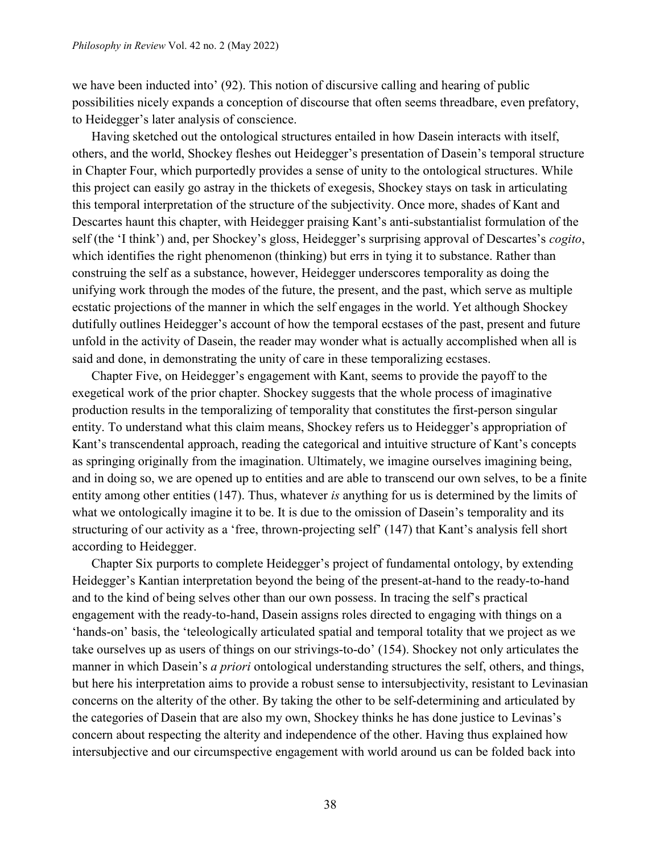we have been inducted into' (92). This notion of discursive calling and hearing of public possibilities nicely expands a conception of discourse that often seems threadbare, even prefatory, to Heidegger's later analysis of conscience.

Having sketched out the ontological structures entailed in how Dasein interacts with itself, others, and the world, Shockey fleshes out Heidegger's presentation of Dasein's temporal structure in Chapter Four, which purportedly provides a sense of unity to the ontological structures. While this project can easily go astray in the thickets of exegesis, Shockey stays on task in articulating this temporal interpretation of the structure of the subjectivity. Once more, shades of Kant and Descartes haunt this chapter, with Heidegger praising Kant's anti-substantialist formulation of the self (the 'I think') and, per Shockey's gloss, Heidegger's surprising approval of Descartes's *cogito*, which identifies the right phenomenon (thinking) but errs in tying it to substance. Rather than construing the self as a substance, however, Heidegger underscores temporality as doing the unifying work through the modes of the future, the present, and the past, which serve as multiple ecstatic projections of the manner in which the self engages in the world. Yet although Shockey dutifully outlines Heidegger's account of how the temporal ecstases of the past, present and future unfold in the activity of Dasein, the reader may wonder what is actually accomplished when all is said and done, in demonstrating the unity of care in these temporalizing ecstases.

Chapter Five, on Heidegger's engagement with Kant, seems to provide the payoff to the exegetical work of the prior chapter. Shockey suggests that the whole process of imaginative production results in the temporalizing of temporality that constitutes the first-person singular entity. To understand what this claim means, Shockey refers us to Heidegger's appropriation of Kant's transcendental approach, reading the categorical and intuitive structure of Kant's concepts as springing originally from the imagination. Ultimately, we imagine ourselves imagining being, and in doing so, we are opened up to entities and are able to transcend our own selves, to be a finite entity among other entities (147). Thus, whatever *is* anything for us is determined by the limits of what we ontologically imagine it to be. It is due to the omission of Dasein's temporality and its structuring of our activity as a 'free, thrown-projecting self' (147) that Kant's analysis fell short according to Heidegger.

Chapter Six purports to complete Heidegger's project of fundamental ontology, by extending Heidegger's Kantian interpretation beyond the being of the present-at-hand to the ready-to-hand and to the kind of being selves other than our own possess. In tracing the self's practical engagement with the ready-to-hand, Dasein assigns roles directed to engaging with things on a 'hands-on' basis, the 'teleologically articulated spatial and temporal totality that we project as we take ourselves up as users of things on our strivings-to-do' (154). Shockey not only articulates the manner in which Dasein's *a priori* ontological understanding structures the self, others, and things, but here his interpretation aims to provide a robust sense to intersubjectivity, resistant to Levinasian concerns on the alterity of the other. By taking the other to be self-determining and articulated by the categories of Dasein that are also my own, Shockey thinks he has done justice to Levinas's concern about respecting the alterity and independence of the other. Having thus explained how intersubjective and our circumspective engagement with world around us can be folded back into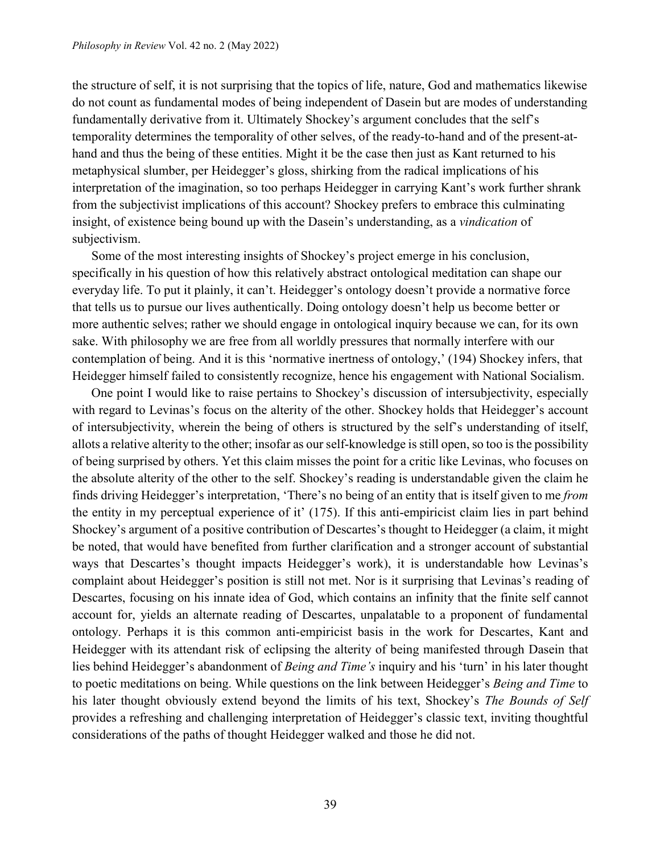the structure of self, it is not surprising that the topics of life, nature, God and mathematics likewise do not count as fundamental modes of being independent of Dasein but are modes of understanding fundamentally derivative from it. Ultimately Shockey's argument concludes that the self's temporality determines the temporality of other selves, of the ready-to-hand and of the present-athand and thus the being of these entities. Might it be the case then just as Kant returned to his metaphysical slumber, per Heidegger's gloss, shirking from the radical implications of his interpretation of the imagination, so too perhaps Heidegger in carrying Kant's work further shrank from the subjectivist implications of this account? Shockey prefers to embrace this culminating insight, of existence being bound up with the Dasein's understanding, as a *vindication* of subjectivism.

Some of the most interesting insights of Shockey's project emerge in his conclusion, specifically in his question of how this relatively abstract ontological meditation can shape our everyday life. To put it plainly, it can't. Heidegger's ontology doesn't provide a normative force that tells us to pursue our lives authentically. Doing ontology doesn't help us become better or more authentic selves; rather we should engage in ontological inquiry because we can, for its own sake. With philosophy we are free from all worldly pressures that normally interfere with our contemplation of being. And it is this 'normative inertness of ontology,' (194) Shockey infers, that Heidegger himself failed to consistently recognize, hence his engagement with National Socialism.

One point I would like to raise pertains to Shockey's discussion of intersubjectivity, especially with regard to Levinas's focus on the alterity of the other. Shockey holds that Heidegger's account of intersubjectivity, wherein the being of others is structured by the self's understanding of itself, allots a relative alterity to the other; insofar as our self-knowledge is still open, so too is the possibility of being surprised by others. Yet this claim misses the point for a critic like Levinas, who focuses on the absolute alterity of the other to the self. Shockey's reading is understandable given the claim he finds driving Heidegger's interpretation, 'There's no being of an entity that is itself given to me *from* the entity in my perceptual experience of it' (175). If this anti-empiricist claim lies in part behind Shockey's argument of a positive contribution of Descartes's thought to Heidegger (a claim, it might be noted, that would have benefited from further clarification and a stronger account of substantial ways that Descartes's thought impacts Heidegger's work), it is understandable how Levinas's complaint about Heidegger's position is still not met. Nor is it surprising that Levinas's reading of Descartes, focusing on his innate idea of God, which contains an infinity that the finite self cannot account for, yields an alternate reading of Descartes, unpalatable to a proponent of fundamental ontology. Perhaps it is this common anti-empiricist basis in the work for Descartes, Kant and Heidegger with its attendant risk of eclipsing the alterity of being manifested through Dasein that lies behind Heidegger's abandonment of *Being and Time's* inquiry and his 'turn' in his later thought to poetic meditations on being. While questions on the link between Heidegger's *Being and Time* to his later thought obviously extend beyond the limits of his text, Shockey's *The Bounds of Self* provides a refreshing and challenging interpretation of Heidegger's classic text, inviting thoughtful considerations of the paths of thought Heidegger walked and those he did not.